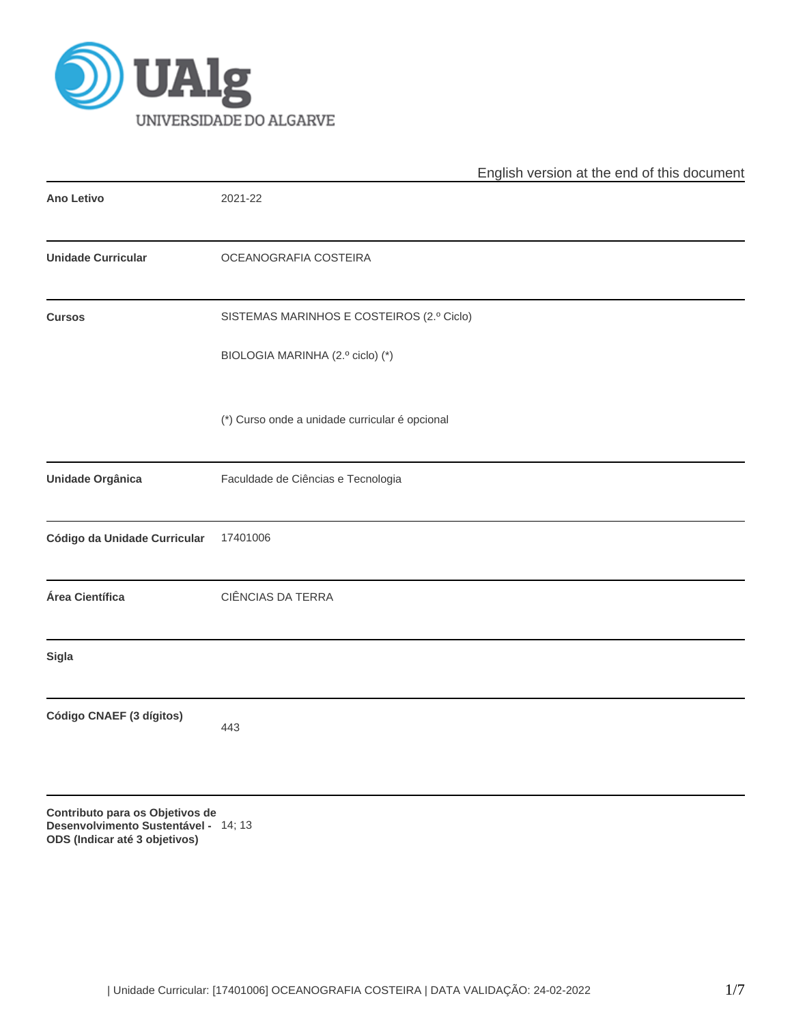

|                                                                                                          |                                                | English version at the end of this document |
|----------------------------------------------------------------------------------------------------------|------------------------------------------------|---------------------------------------------|
| <b>Ano Letivo</b>                                                                                        | 2021-22                                        |                                             |
| <b>Unidade Curricular</b>                                                                                | OCEANOGRAFIA COSTEIRA                          |                                             |
| <b>Cursos</b>                                                                                            | SISTEMAS MARINHOS E COSTEIROS (2.º Ciclo)      |                                             |
|                                                                                                          | BIOLOGIA MARINHA (2.º ciclo) (*)               |                                             |
|                                                                                                          | (*) Curso onde a unidade curricular é opcional |                                             |
| Unidade Orgânica                                                                                         | Faculdade de Ciências e Tecnologia             |                                             |
| Código da Unidade Curricular                                                                             | 17401006                                       |                                             |
| Área Científica                                                                                          | CIÊNCIAS DA TERRA                              |                                             |
| <b>Sigla</b>                                                                                             |                                                |                                             |
| Código CNAEF (3 dígitos)                                                                                 | 443                                            |                                             |
| Contributo para os Objetivos de<br>Desenvolvimento Sustentável - 14; 13<br>ODS (Indicar até 3 objetivos) |                                                |                                             |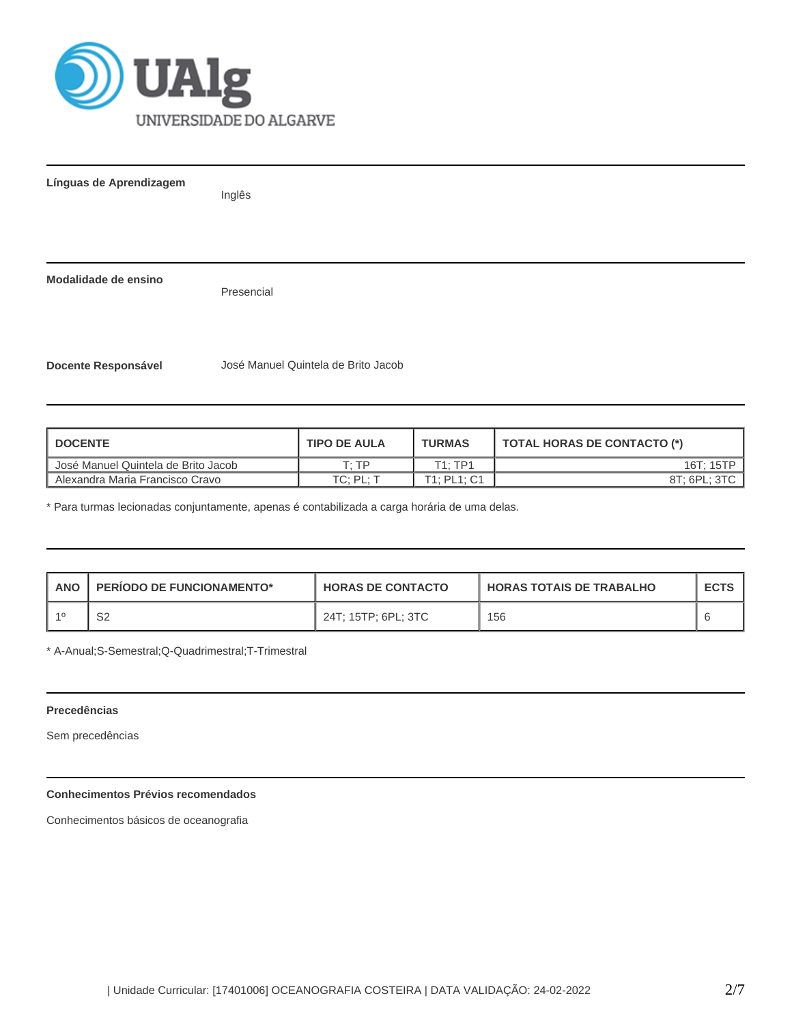

**Línguas de Aprendizagem** Inglês

**Modalidade de ensino**

Presencial

**Docente Responsável** José Manuel Quintela de Brito Jacob

| I DOCENTE                           | <b>TIPO DE AULA</b> | <b>TURMAS</b> | TOTAL HORAS DE CONTACTO (*) |
|-------------------------------------|---------------------|---------------|-----------------------------|
| José Manuel Quintela de Brito Jacob | T· TP               | T1:TP1        | 16T: 15TP                   |
| Alexandra Maria Francisco Cravo     | TC: PL:             | T1: PL1: C1   | 8T: 6PL: 3TC                |

\* Para turmas lecionadas conjuntamente, apenas é contabilizada a carga horária de uma delas.

| <b>ANO</b> | <b>PERIODO DE FUNCIONAMENTO*</b> | <b>HORAS DE CONTACTO</b> | <b>HORAS TOTAIS DE TRABALHO</b> | <b>ECTS</b> |
|------------|----------------------------------|--------------------------|---------------------------------|-------------|
|            | ےت                               | 24T; 15TP; 6PL; 3TC      | 156                             |             |

\* A-Anual;S-Semestral;Q-Quadrimestral;T-Trimestral

## **Precedências**

Sem precedências

## **Conhecimentos Prévios recomendados**

Conhecimentos básicos de oceanografia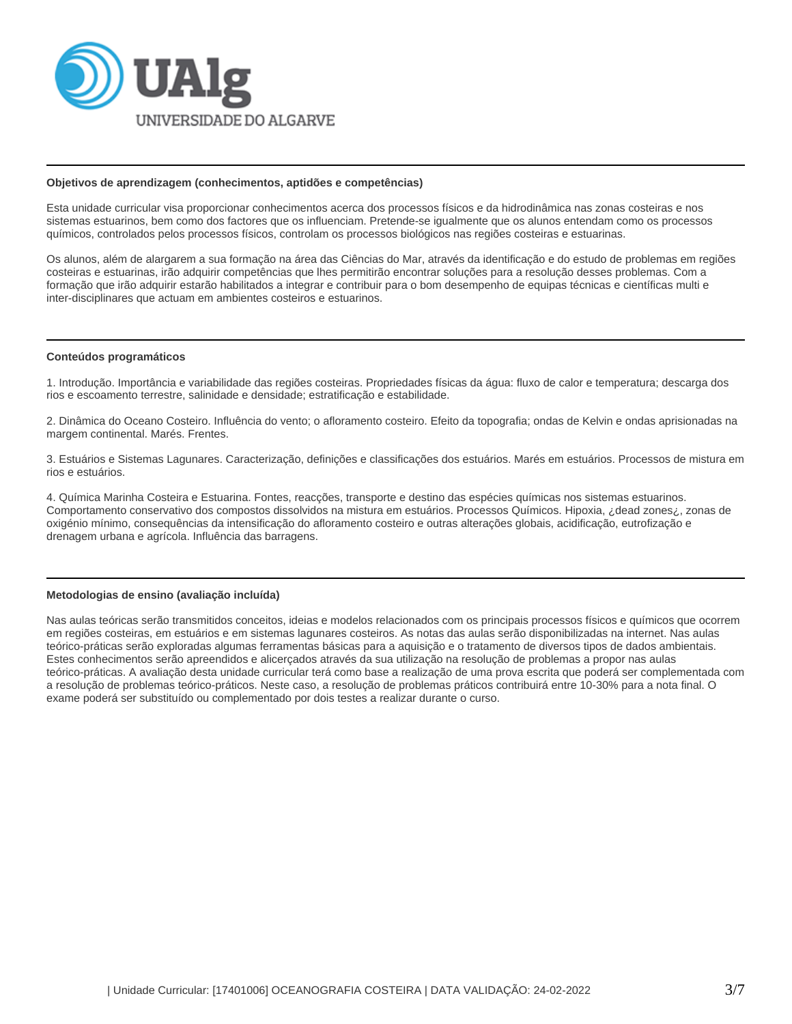

#### **Objetivos de aprendizagem (conhecimentos, aptidões e competências)**

Esta unidade curricular visa proporcionar conhecimentos acerca dos processos físicos e da hidrodinâmica nas zonas costeiras e nos sistemas estuarinos, bem como dos factores que os influenciam. Pretende-se igualmente que os alunos entendam como os processos químicos, controlados pelos processos físicos, controlam os processos biológicos nas regiões costeiras e estuarinas.

Os alunos, além de alargarem a sua formação na área das Ciências do Mar, através da identificação e do estudo de problemas em regiões costeiras e estuarinas, irão adquirir competências que lhes permitirão encontrar soluções para a resolução desses problemas. Com a formação que irão adquirir estarão habilitados a integrar e contribuir para o bom desempenho de equipas técnicas e científicas multi e inter-disciplinares que actuam em ambientes costeiros e estuarinos.

#### **Conteúdos programáticos**

1. Introdução. Importância e variabilidade das regiões costeiras. Propriedades físicas da água: fluxo de calor e temperatura; descarga dos rios e escoamento terrestre, salinidade e densidade; estratificação e estabilidade.

2. Dinâmica do Oceano Costeiro. Influência do vento; o afloramento costeiro. Efeito da topografia; ondas de Kelvin e ondas aprisionadas na margem continental. Marés. Frentes.

3. Estuários e Sistemas Lagunares. Caracterização, definições e classificações dos estuários. Marés em estuários. Processos de mistura em rios e estuários.

4. Química Marinha Costeira e Estuarina. Fontes, reacções, transporte e destino das espécies químicas nos sistemas estuarinos. Comportamento conservativo dos compostos dissolvidos na mistura em estuários. Processos Químicos. Hipoxia, ¿dead zones¿, zonas de oxigénio mínimo, consequências da intensificação do afloramento costeiro e outras alterações globais, acidificação, eutrofização e drenagem urbana e agrícola. Influência das barragens.

#### **Metodologias de ensino (avaliação incluída)**

Nas aulas teóricas serão transmitidos conceitos, ideias e modelos relacionados com os principais processos físicos e químicos que ocorrem em regiões costeiras, em estuários e em sistemas lagunares costeiros. As notas das aulas serão disponibilizadas na internet. Nas aulas teórico-práticas serão exploradas algumas ferramentas básicas para a aquisição e o tratamento de diversos tipos de dados ambientais. Estes conhecimentos serão apreendidos e alicerçados através da sua utilização na resolução de problemas a propor nas aulas teórico-práticas. A avaliação desta unidade curricular terá como base a realização de uma prova escrita que poderá ser complementada com a resolução de problemas teórico-práticos. Neste caso, a resolução de problemas práticos contribuirá entre 10-30% para a nota final. O exame poderá ser substituído ou complementado por dois testes a realizar durante o curso.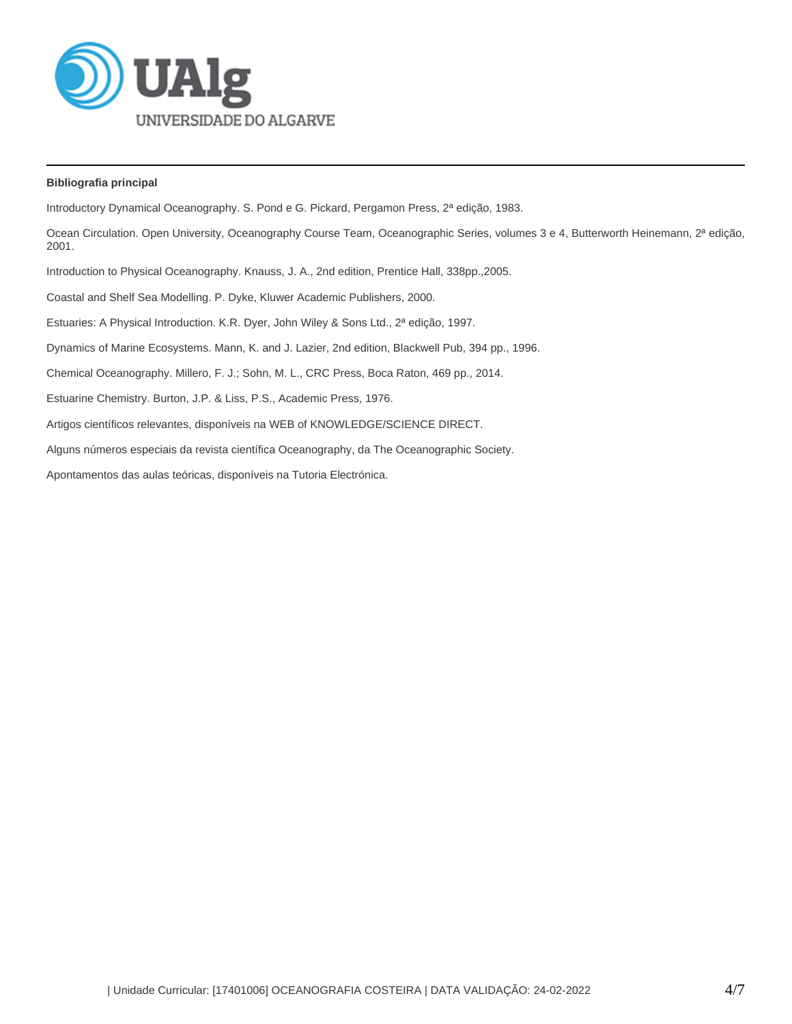

# **Bibliografia principal**

Introductory Dynamical Oceanography. S. Pond e G. Pickard, Pergamon Press, 2ª edição, 1983. Ocean Circulation. Open University, Oceanography Course Team, Oceanographic Series, volumes 3 e 4, Butterworth Heinemann, 2ª edição, 2001. Introduction to Physical Oceanography. Knauss, J. A., 2nd edition, Prentice Hall, 338pp.,2005. Coastal and Shelf Sea Modelling. P. Dyke, Kluwer Academic Publishers, 2000. Estuaries: A Physical Introduction. K.R. Dyer, John Wiley & Sons Ltd., 2ª edição, 1997. Dynamics of Marine Ecosystems. Mann, K. and J. Lazier, 2nd edition, Blackwell Pub, 394 pp., 1996. Chemical Oceanography. Millero, F. J.; Sohn, M. L., CRC Press, Boca Raton, 469 pp., 2014. Estuarine Chemistry. Burton, J.P. & Liss, P.S., Academic Press, 1976. Artigos científicos relevantes, disponíveis na WEB of KNOWLEDGE/SCIENCE DIRECT. Alguns números especiais da revista científica Oceanography, da The Oceanographic Society. Apontamentos das aulas teóricas, disponíveis na Tutoria Electrónica.

| Unidade Curricular: [17401006] OCEANOGRAFIA COSTEIRA | DATA VALIDAÇÃO: 24-02-2022 4/7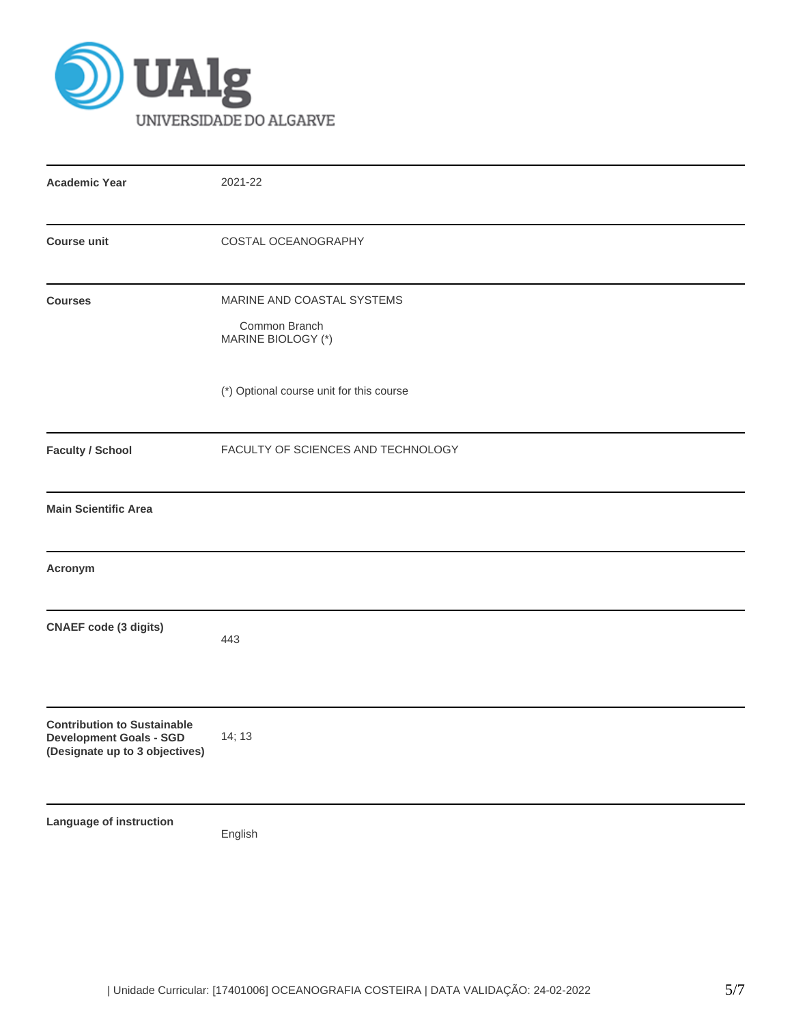

| <b>Academic Year</b>                                                                                   | 2021-22                                                           |  |  |  |  |  |
|--------------------------------------------------------------------------------------------------------|-------------------------------------------------------------------|--|--|--|--|--|
| <b>Course unit</b>                                                                                     | COSTAL OCEANOGRAPHY                                               |  |  |  |  |  |
| <b>Courses</b>                                                                                         | MARINE AND COASTAL SYSTEMS<br>Common Branch<br>MARINE BIOLOGY (*) |  |  |  |  |  |
|                                                                                                        | (*) Optional course unit for this course                          |  |  |  |  |  |
| <b>Faculty / School</b>                                                                                | FACULTY OF SCIENCES AND TECHNOLOGY                                |  |  |  |  |  |
| <b>Main Scientific Area</b>                                                                            |                                                                   |  |  |  |  |  |
| Acronym                                                                                                |                                                                   |  |  |  |  |  |
| <b>CNAEF</b> code (3 digits)                                                                           | 443                                                               |  |  |  |  |  |
| <b>Contribution to Sustainable</b><br><b>Development Goals - SGD</b><br>(Designate up to 3 objectives) | 14; 13                                                            |  |  |  |  |  |
| Language of instruction                                                                                | English                                                           |  |  |  |  |  |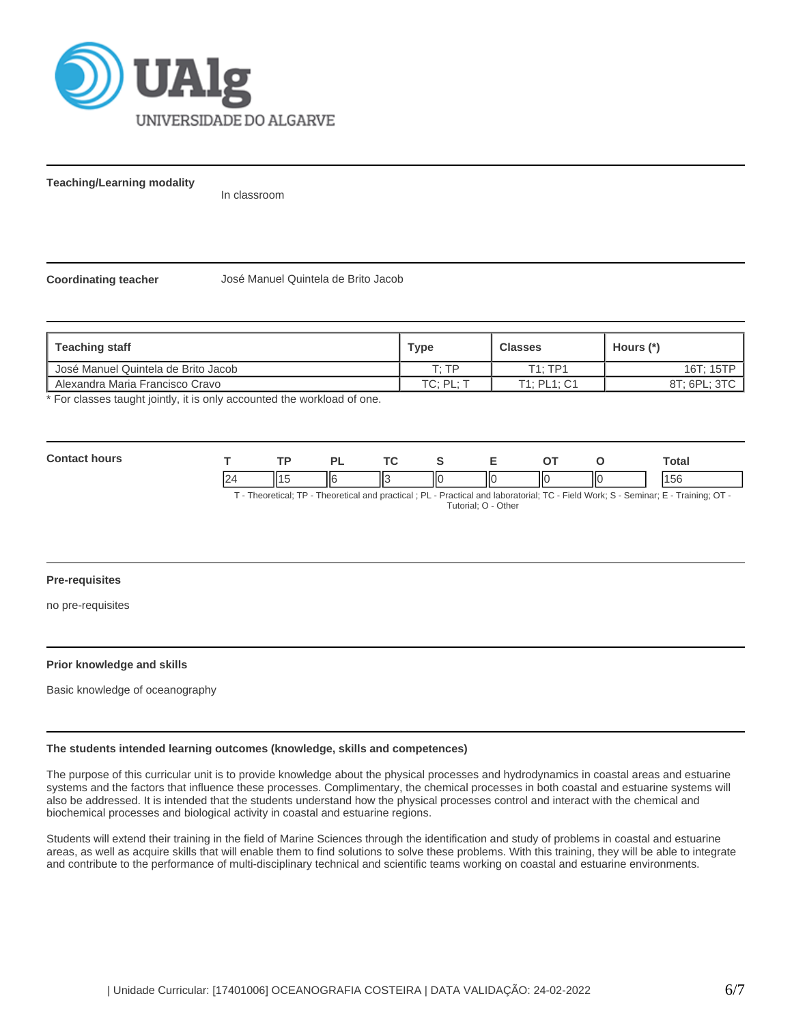

**Teaching/Learning modality**

In classroom

**Coordinating teacher** José Manuel Quintela de Brito Jacob

| ∣ Teaching staff                    | Type      | <b>Classes</b> | Hours (*)    |
|-------------------------------------|-----------|----------------|--------------|
| Uosé Manuel Quintela de Brito Jacob | סד יד     | T1:TP1         | 16T: 15TP    |
| l Alexandra Maria Francisco Cravo   | TC: PL: T | T1: PL1: C1    | 8T: 6PL: 3TC |

\* For classes taught jointly, it is only accounted the workload of one.

| Con |    | D)      |                    |      |   |    | `otal |
|-----|----|---------|--------------------|------|---|----|-------|
|     | '' | .<br>п. | $\mathbf{r}$<br>تى | -lic | Ш | IЮ | I5b   |

T - Theoretical; TP - Theoretical and practical ; PL - Practical and laboratorial; TC - Field Work; S - Seminar; E - Training; OT - Tutorial; O - Other

## **Pre-requisites**

no pre-requisites

# **Prior knowledge and skills**

Basic knowledge of oceanography

## **The students intended learning outcomes (knowledge, skills and competences)**

The purpose of this curricular unit is to provide knowledge about the physical processes and hydrodynamics in coastal areas and estuarine systems and the factors that influence these processes. Complimentary, the chemical processes in both coastal and estuarine systems will also be addressed. It is intended that the students understand how the physical processes control and interact with the chemical and biochemical processes and biological activity in coastal and estuarine regions.

Students will extend their training in the field of Marine Sciences through the identification and study of problems in coastal and estuarine areas, as well as acquire skills that will enable them to find solutions to solve these problems. With this training, they will be able to integrate and contribute to the performance of multi-disciplinary technical and scientific teams working on coastal and estuarine environments.